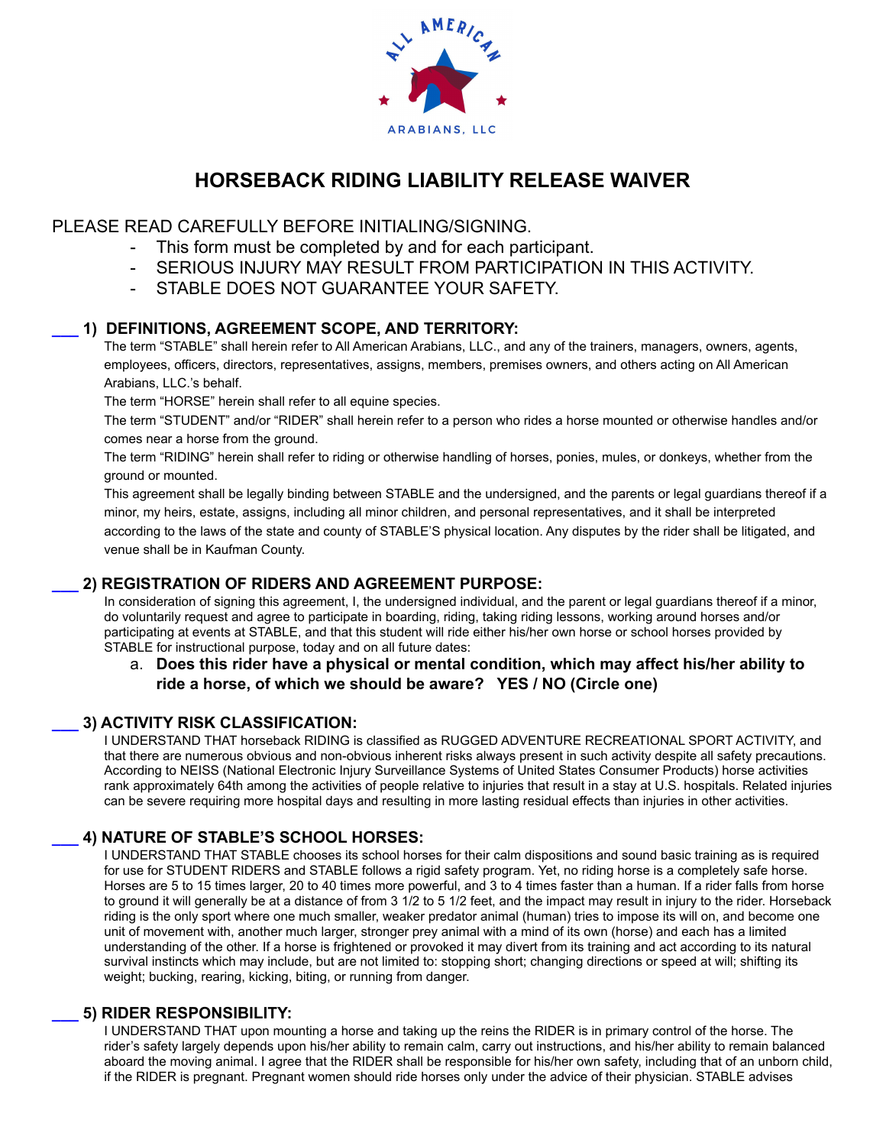

# **HORSEBACK RIDING LIABILITY RELEASE WAIVER**

## PLEASE READ CAREFULLY BEFORE INITIALING/SIGNING.

- This form must be completed by and for each participant.
- SERIOUS INJURY MAY RESULT FROM PARTICIPATION IN THIS ACTIVITY.
- STABLE DOES NOT GUARANTEE YOUR SAFETY.

## **\_\_\_ 1) DEFINITIONS, AGREEMENT SCOPE, AND TERRITORY:**

The term "STABLE" shall herein refer to All American Arabians, LLC., and any of the trainers, managers, owners, agents, employees, officers, directors, representatives, assigns, members, premises owners, and others acting on All American Arabians, LLC.'s behalf.

The term "HORSE" herein shall refer to all equine species.

The term "STUDENT" and/or "RIDER" shall herein refer to a person who rides a horse mounted or otherwise handles and/or comes near a horse from the ground.

The term "RIDING" herein shall refer to riding or otherwise handling of horses, ponies, mules, or donkeys, whether from the ground or mounted.

This agreement shall be legally binding between STABLE and the undersigned, and the parents or legal guardians thereof if a minor, my heirs, estate, assigns, including all minor children, and personal representatives, and it shall be interpreted according to the laws of the state and county of STABLE'S physical location. Any disputes by the rider shall be litigated, and venue shall be in Kaufman County.

## **\_\_\_ 2) REGISTRATION OF RIDERS AND AGREEMENT PURPOSE:**

In consideration of signing this agreement, I, the undersigned individual, and the parent or legal guardians thereof if a minor, do voluntarily request and agree to participate in boarding, riding, taking riding lessons, working around horses and/or participating at events at STABLE, and that this student will ride either his/her own horse or school horses provided by STABLE for instructional purpose, today and on all future dates:

## a. **Does this rider have a physical or mental condition, which may affect his/her ability to ride a horse, of which we should be aware? YES / NO (Circle one)**

## **\_\_\_ 3) ACTIVITY RISK CLASSIFICATION:**

I UNDERSTAND THAT horseback RIDING is classified as RUGGED ADVENTURE RECREATIONAL SPORT ACTIVITY, and that there are numerous obvious and non-obvious inherent risks always present in such activity despite all safety precautions. According to NEISS (National Electronic Injury Surveillance Systems of United States Consumer Products) horse activities rank approximately 64th among the activities of people relative to injuries that result in a stay at U.S. hospitals. Related injuries can be severe requiring more hospital days and resulting in more lasting residual effects than injuries in other activities.

## **\_\_\_ 4) NATURE OF STABLE'S SCHOOL HORSES:**

I UNDERSTAND THAT STABLE chooses its school horses for their calm dispositions and sound basic training as is required for use for STUDENT RIDERS and STABLE follows a rigid safety program. Yet, no riding horse is a completely safe horse. Horses are 5 to 15 times larger, 20 to 40 times more powerful, and 3 to 4 times faster than a human. If a rider falls from horse to ground it will generally be at a distance of from 3 1/2 to 5 1/2 feet, and the impact may result in injury to the rider. Horseback riding is the only sport where one much smaller, weaker predator animal (human) tries to impose its will on, and become one unit of movement with, another much larger, stronger prey animal with a mind of its own (horse) and each has a limited understanding of the other. If a horse is frightened or provoked it may divert from its training and act according to its natural survival instincts which may include, but are not limited to: stopping short; changing directions or speed at will; shifting its weight; bucking, rearing, kicking, biting, or running from danger.

#### **\_\_\_ 5) RIDER RESPONSIBILITY:**

I UNDERSTAND THAT upon mounting a horse and taking up the reins the RIDER is in primary control of the horse. The rider's safety largely depends upon his/her ability to remain calm, carry out instructions, and his/her ability to remain balanced aboard the moving animal. I agree that the RIDER shall be responsible for his/her own safety, including that of an unborn child, if the RIDER is pregnant. Pregnant women should ride horses only under the advice of their physician. STABLE advises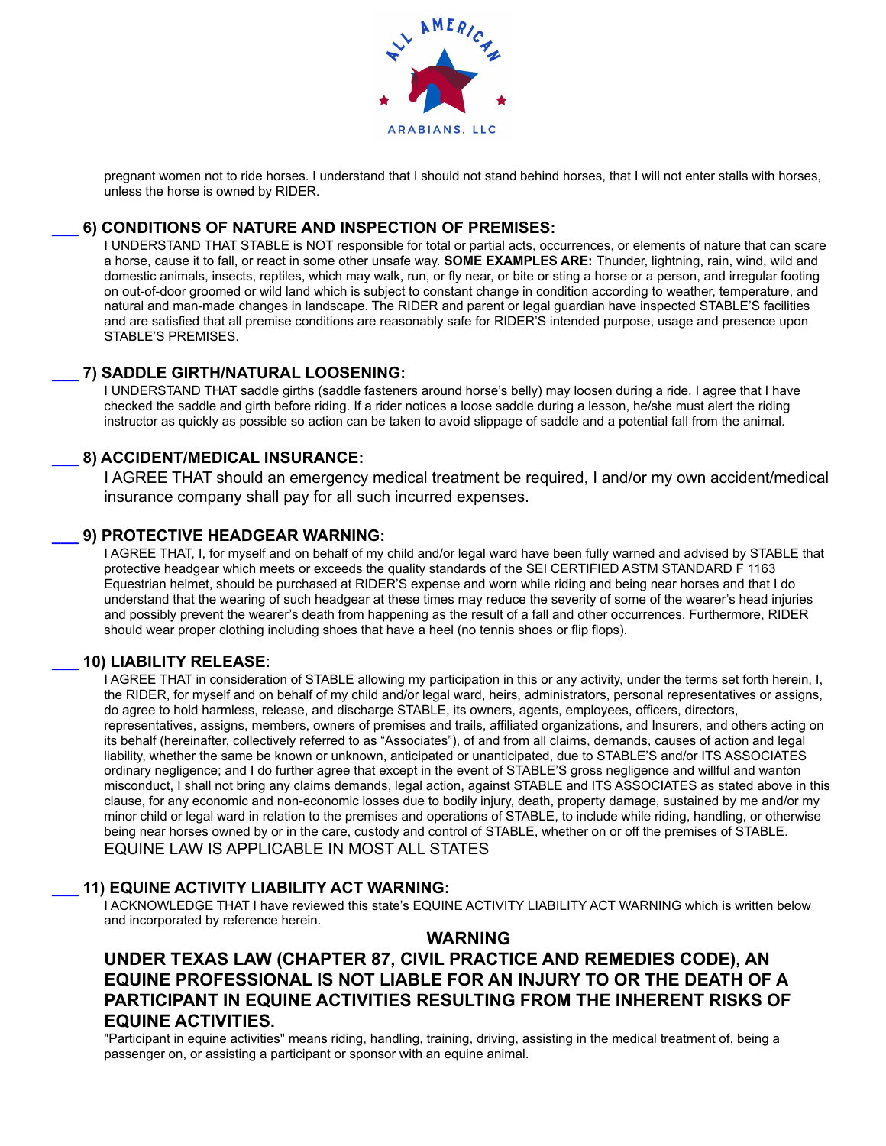

pregnant women not to ride horses. I understand that I should not stand behind horses, that I will not enter stalls with horses, unless the horse is owned by RIDER.

## **\_\_\_ 6) CONDITIONS OF NATURE AND INSPECTION OF PREMISES:**

I UNDERSTAND THAT STABLE is NOT responsible for total or partial acts, occurrences, or elements of nature that can scare a horse, cause it to fall, or react in some other unsafe way. **SOME EXAMPLES ARE:** Thunder, lightning, rain, wind, wild and domestic animals, insects, reptiles, which may walk, run, or fly near, or bite or sting a horse or a person, and irregular footing on out-of-door groomed or wild land which is subject to constant change in condition according to weather, temperature, and natural and man-made changes in landscape. The RIDER and parent or legal guardian have inspected STABLE'S facilities and are satisfied that all premise conditions are reasonably safe for RIDER'S intended purpose, usage and presence upon STABLE'S PREMISES.

## **\_\_\_ 7) SADDLE GIRTH/NATURAL LOOSENING:**

I UNDERSTAND THAT saddle girths (saddle fasteners around horse's belly) may loosen during a ride. I agree that I have checked the saddle and girth before riding. If a rider notices a loose saddle during a lesson, he/she must alert the riding instructor as quickly as possible so action can be taken to avoid slippage of saddle and a potential fall from the animal.

## **\_\_\_ 8) ACCIDENT/MEDICAL INSURANCE:**

I AGREE THAT should an emergency medical treatment be required, I and/or my own accident/medical insurance company shall pay for all such incurred expenses.

#### **\_\_\_ 9) PROTECTIVE HEADGEAR WARNING:**

I AGREE THAT, I, for myself and on behalf of my child and/or legal ward have been fully warned and advised by STABLE that protective headgear which meets or exceeds the quality standards of the SEI CERTIFIED ASTM STANDARD F 1163 Equestrian helmet, should be purchased at RIDER'S expense and worn while riding and being near horses and that I do understand that the wearing of such headgear at these times may reduce the severity of some of the wearer's head injuries and possibly prevent the wearer's death from happening as the result of a fall and other occurrences. Furthermore, RIDER should wear proper clothing including shoes that have a heel (no tennis shoes or flip flops).

#### **\_\_\_ 10) LIABILITY RELEASE**:

I AGREE THAT in consideration of STABLE allowing my participation in this or any activity, under the terms set forth herein, I, the RIDER, for myself and on behalf of my child and/or legal ward, heirs, administrators, personal representatives or assigns, do agree to hold harmless, release, and discharge STABLE, its owners, agents, employees, officers, directors, representatives, assigns, members, owners of premises and trails, affiliated organizations, and Insurers, and others acting on its behalf (hereinafter, collectively referred to as "Associates"), of and from all claims, demands, causes of action and legal liability, whether the same be known or unknown, anticipated or unanticipated, due to STABLE'S and/or ITS ASSOCIATES ordinary negligence; and I do further agree that except in the event of STABLE'S gross negligence and willful and wanton misconduct, I shall not bring any claims demands, legal action, against STABLE and ITS ASSOCIATES as stated above in this clause, for any economic and non-economic losses due to bodily injury, death, property damage, sustained by me and/or my minor child or legal ward in relation to the premises and operations of STABLE, to include while riding, handling, or otherwise being near horses owned by or in the care, custody and control of STABLE, whether on or off the premises of STABLE. EQUINE LAW IS APPLICABLE IN MOST ALL STATES

#### **\_\_\_ 11) EQUINE ACTIVITY LIABILITY ACT WARNING:**

I ACKNOWLEDGE THAT I have reviewed this state's EQUINE ACTIVITY LIABILITY ACT WARNING which is written below and incorporated by reference herein.

#### **WARNING**

## **UNDER TEXAS LAW (CHAPTER 87, CIVIL PRACTICE AND REMEDIES CODE), AN EQUINE PROFESSIONAL IS NOT LIABLE FOR AN INJURY TO OR THE DEATH OF A PARTICIPANT IN EQUINE ACTIVITIES RESULTING FROM THE INHERENT RISKS OF EQUINE ACTIVITIES.**

"Participant in equine activities" means riding, handling, training, driving, assisting in the medical treatment of, being a passenger on, or assisting a participant or sponsor with an equine animal.